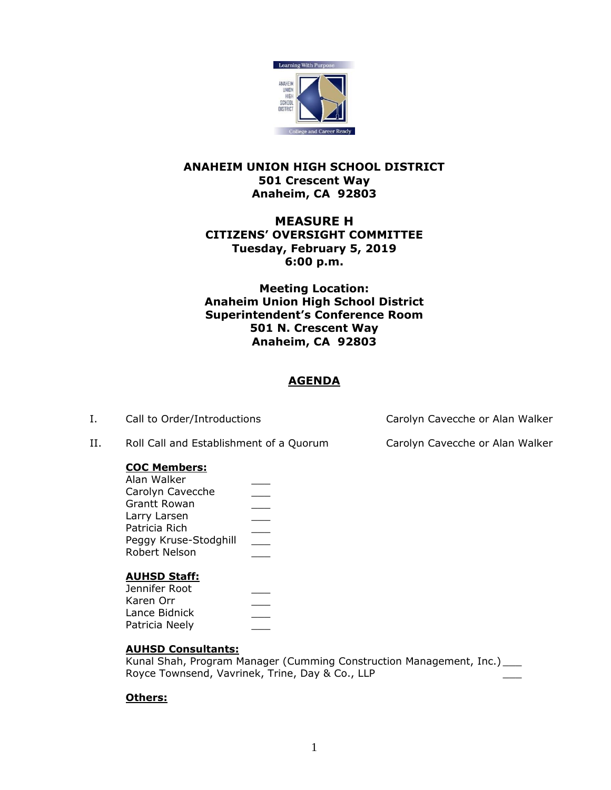

## **ANAHEIM UNION HIGH SCHOOL DISTRICT 501 Crescent Way Anaheim, CA 92803**

# **MEASURE H CITIZENS' OVERSIGHT COMMITTEE Tuesday, February 5, 2019 6:00 p.m.**

**Meeting Location: Anaheim Union High School District Superintendent's Conference Room 501 N. Crescent Way Anaheim, CA 92803**

# **AGENDA**

II. Roll Call and Establishment of a Quorum Carolyn Cavecche or Alan Walker

### **COC Members:**

| Alan Walker           |  |
|-----------------------|--|
| Carolyn Cavecche      |  |
| <b>Grantt Rowan</b>   |  |
| Larry Larsen          |  |
| Patricia Rich         |  |
| Peggy Kruse-Stodghill |  |
| Robert Nelson         |  |

### **AUHSD Staff:**

### **AUHSD Consultants:**

Kunal Shah, Program Manager (Cumming Construction Management, Inc.) \_\_\_ Royce Townsend, Vavrinek, Trine, Day & Co., LLP

# **Others:**

I. Call to Order/Introductions Carolyn Cavecche or Alan Walker